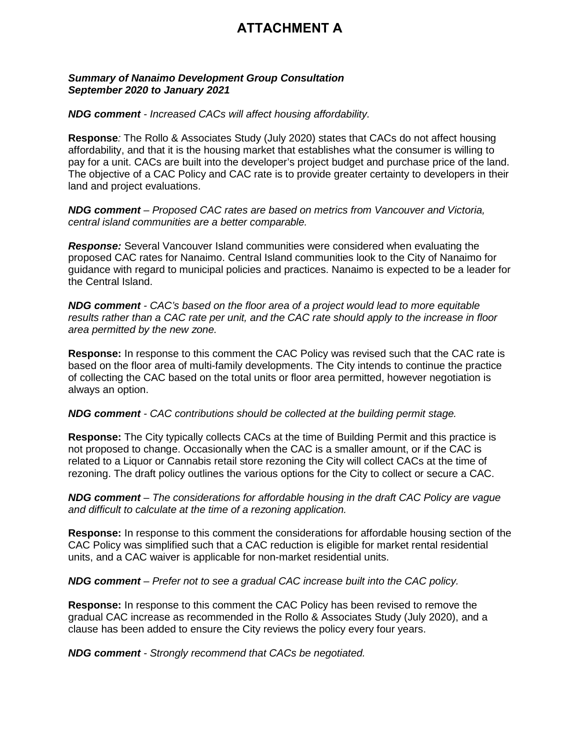## **ATTACHMENT A**

## **Summary of Nanaimo Development Group Consultation** September 2020 to January 2021

## **NDG comment - Increased CACs will affect housing affordability.**

**Response:** The Rollo & Associates Study (July 2020) states that CACs do not affect housing affordability, and that it is the housing market that establishes what the consumer is willing to pay for a unit. CACs are built into the developer's project budget and purchase price of the land. The objective of a CAC Policy and CAC rate is to provide greater certainty to developers in their land and project evaluations.

NDG comment - Proposed CAC rates are based on metrics from Vancouver and Victoria, central island communities are a better comparable.

**Response:** Several Vancouver Island communities were considered when evaluating the proposed CAC rates for Nanaimo. Central Island communities look to the City of Nanaimo for guidance with regard to municipal policies and practices. Nanaimo is expected to be a leader for the Central Island.

**NDG comment** - CAC's based on the floor area of a project would lead to more equitable results rather than a CAC rate per unit, and the CAC rate should apply to the increase in floor area permitted by the new zone.

Response: In response to this comment the CAC Policy was revised such that the CAC rate is based on the floor area of multi-family developments. The City intends to continue the practice of collecting the CAC based on the total units or floor area permitted, however negotiation is always an option.

## NDG comment - CAC contributions should be collected at the building permit stage.

Response: The City typically collects CACs at the time of Building Permit and this practice is not proposed to change. Occasionally when the CAC is a smaller amount, or if the CAC is related to a Liquor or Cannabis retail store rezoning the City will collect CACs at the time of rezoning. The draft policy outlines the various options for the City to collect or secure a CAC.

NDG comment – The considerations for affordable housing in the draft CAC Policy are vague and difficult to calculate at the time of a rezoning application.

**Response:** In response to this comment the considerations for affordable housing section of the CAC Policy was simplified such that a CAC reduction is eligible for market rental residential units, and a CAC waiver is applicable for non-market residential units.

NDG comment – Prefer not to see a gradual CAC increase built into the CAC policy.

Response: In response to this comment the CAC Policy has been revised to remove the gradual CAC increase as recommended in the Rollo & Associates Study (July 2020), and a clause has been added to ensure the City reviews the policy every four years.

**NDG comment** - Strongly recommend that CACs be negotiated.